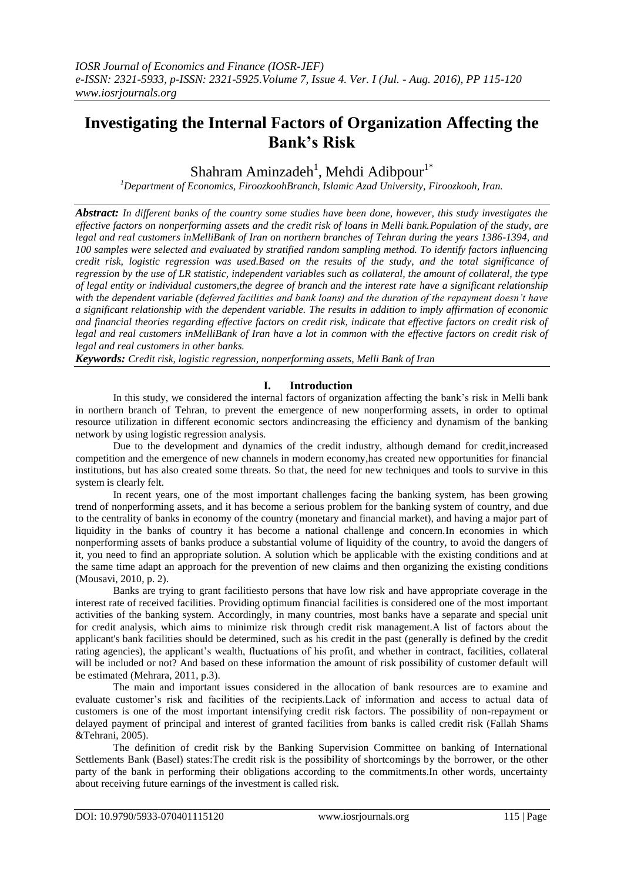# **Investigating the Internal Factors of Organization Affecting the Bank's Risk**

Shahram Aminzadeh<sup>1</sup>, Mehdi Adibpour<sup>1\*</sup>

*<sup>1</sup>Department of Economics, FiroozkoohBranch, Islamic Azad University, Firoozkooh, Iran.*

*Abstract: In different banks of the country some studies have been done, however, this study investigates the effective factors on nonperforming assets and the credit risk of loans in Melli bank.Population of the study, are legal and real customers inMelliBank of Iran on northern branches of Tehran during the years 1386-1394, and 100 samples were selected and evaluated by stratified random sampling method. To identify factors influencing credit risk, logistic regression was used.Based on the results of the study, and the total significance of regression by the use of LR statistic, independent variables such as collateral, the amount of collateral, the type of legal entity or individual customers,the degree of branch and the interest rate have a significant relationship with the dependent variable (deferred facilities and bank loans) and the duration of the repayment doesn't have a significant relationship with the dependent variable. The results in addition to imply affirmation of economic and financial theories regarding effective factors on credit risk, indicate that effective factors on credit risk of legal and real customers inMelliBank of Iran have a lot in common with the effective factors on credit risk of legal and real customers in other banks.* 

*Keywords: Credit risk, logistic regression, nonperforming assets, Melli Bank of Iran*

## **I. Introduction**

In this study, we considered the internal factors of organization affecting the bank's risk in Melli bank in northern branch of Tehran, to prevent the emergence of new nonperforming assets, in order to optimal resource utilization in different economic sectors andincreasing the efficiency and dynamism of the banking network by using logistic regression analysis.

Due to the development and dynamics of the credit industry, although demand for credit,increased competition and the emergence of new channels in modern economy,has created new opportunities for financial institutions, but has also created some threats. So that, the need for new techniques and tools to survive in this system is clearly felt.

In recent years, one of the most important challenges facing the banking system, has been growing trend of nonperforming assets, and it has become a serious problem for the banking system of country, and due to the centrality of banks in economy of the country (monetary and financial market), and having a major part of liquidity in the banks of country it has become a national challenge and concern.In economies in which nonperforming assets of banks produce a substantial volume of liquidity of the country, to avoid the dangers of it, you need to find an appropriate solution. A solution which be applicable with the existing conditions and at the same time adapt an approach for the prevention of new claims and then organizing the existing conditions (Mousavi, 2010, p. 2).

Banks are trying to grant facilitiesto persons that have low risk and have appropriate coverage in the interest rate of received facilities. Providing optimum financial facilities is considered one of the most important activities of the banking system. Accordingly, in many countries, most banks have a separate and special unit for credit analysis, which aims to minimize risk through credit risk management.A list of factors about the applicant's bank facilities should be determined, such as his credit in the past (generally is defined by the credit rating agencies), the applicant's wealth, fluctuations of his profit, and whether in contract, facilities, collateral will be included or not? And based on these information the amount of risk possibility of customer default will be estimated (Mehrara, 2011, p.3).

The main and important issues considered in the allocation of bank resources are to examine and evaluate customer's risk and facilities of the recipients.Lack of information and access to actual data of customers is one of the most important intensifying credit risk factors. The possibility of non-repayment or delayed payment of principal and interest of granted facilities from banks is called credit risk (Fallah Shams &Tehrani, 2005).

The definition of credit risk by the Banking Supervision Committee on banking of International Settlements Bank (Basel) states:The credit risk is the possibility of shortcomings by the borrower, or the other party of the bank in performing their obligations according to the commitments.In other words, uncertainty about receiving future earnings of the investment is called risk.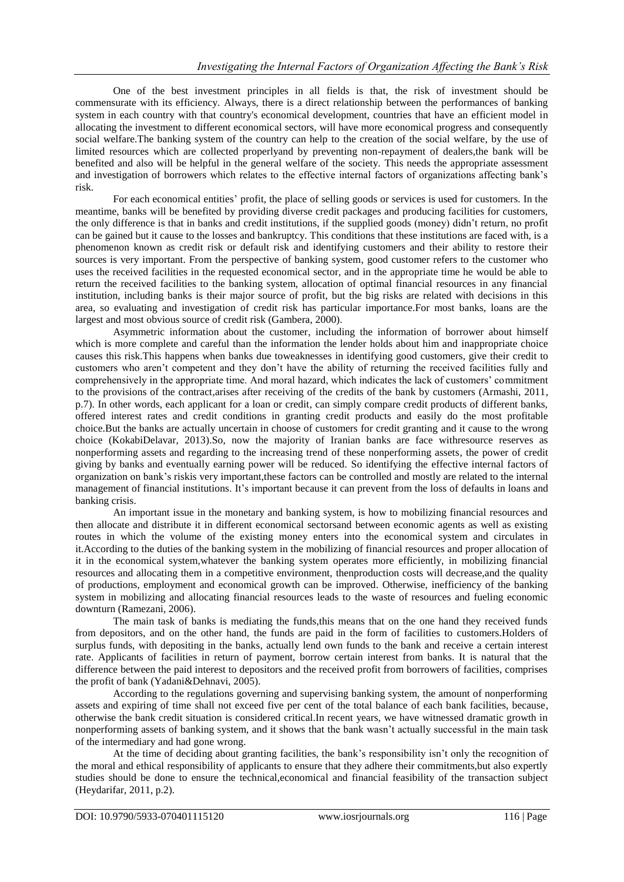One of the best investment principles in all fields is that, the risk of investment should be commensurate with its efficiency. Always, there is a direct relationship between the performances of banking system in each country with that country's economical development, countries that have an efficient model in allocating the investment to different economical sectors, will have more economical progress and consequently social welfare.The banking system of the country can help to the creation of the social welfare, by the use of limited resources which are collected properlyand by preventing non-repayment of dealers,the bank will be benefited and also will be helpful in the general welfare of the society. This needs the appropriate assessment and investigation of borrowers which relates to the effective internal factors of organizations affecting bank's risk.

For each economical entities' profit, the place of selling goods or services is used for customers. In the meantime, banks will be benefited by providing diverse credit packages and producing facilities for customers, the only difference is that in banks and credit institutions, if the supplied goods (money) didn't return, no profit can be gained but it cause to the losses and bankruptcy. This conditions that these institutions are faced with, is a phenomenon known as credit risk or default risk and identifying customers and their ability to restore their sources is very important. From the perspective of banking system, good customer refers to the customer who uses the received facilities in the requested economical sector, and in the appropriate time he would be able to return the received facilities to the banking system, allocation of optimal financial resources in any financial institution, including banks is their major source of profit, but the big risks are related with decisions in this area, so evaluating and investigation of credit risk has particular importance.For most banks, loans are the largest and most obvious source of credit risk (Gambera, 2000).

Asymmetric information about the customer, including the information of borrower about himself which is more complete and careful than the information the lender holds about him and inappropriate choice causes this risk.This happens when banks due toweaknesses in identifying good customers, give their credit to customers who aren't competent and they don't have the ability of returning the received facilities fully and comprehensively in the appropriate time. And moral hazard, which indicates the lack of customers' commitment to the provisions of the contract,arises after receiving of the credits of the bank by customers (Armashi, 2011, p.7). In other words, each applicant for a loan or credit, can simply compare credit products of different banks, offered interest rates and credit conditions in granting credit products and easily do the most profitable choice.But the banks are actually uncertain in choose of customers for credit granting and it cause to the wrong choice (KokabiDelavar, 2013).So, now the majority of Iranian banks are face withresource reserves as nonperforming assets and regarding to the increasing trend of these nonperforming assets, the power of credit giving by banks and eventually earning power will be reduced. So identifying the effective internal factors of organization on bank's riskis very important,these factors can be controlled and mostly are related to the internal management of financial institutions. It's important because it can prevent from the loss of defaults in loans and banking crisis.

An important issue in the monetary and banking system, is how to mobilizing financial resources and then allocate and distribute it in different economical sectorsand between economic agents as well as existing routes in which the volume of the existing money enters into the economical system and circulates in it.According to the duties of the banking system in the mobilizing of financial resources and proper allocation of it in the economical system,whatever the banking system operates more efficiently, in mobilizing financial resources and allocating them in a competitive environment, thenproduction costs will decrease,and the quality of productions, employment and economical growth can be improved. Otherwise, inefficiency of the banking system in mobilizing and allocating financial resources leads to the waste of resources and fueling economic downturn (Ramezani, 2006).

The main task of banks is mediating the funds,this means that on the one hand they received funds from depositors, and on the other hand, the funds are paid in the form of facilities to customers.Holders of surplus funds, with depositing in the banks, actually lend own funds to the bank and receive a certain interest rate. Applicants of facilities in return of payment, borrow certain interest from banks. It is natural that the difference between the paid interest to depositors and the received profit from borrowers of facilities, comprises the profit of bank (Yadani&Dehnavi, 2005).

According to the regulations governing and supervising banking system, the amount of nonperforming assets and expiring of time shall not exceed five per cent of the total balance of each bank facilities, because, otherwise the bank credit situation is considered critical.In recent years, we have witnessed dramatic growth in nonperforming assets of banking system, and it shows that the bank wasn't actually successful in the main task of the intermediary and had gone wrong.

At the time of deciding about granting facilities, the bank's responsibility isn't only the recognition of the moral and ethical responsibility of applicants to ensure that they adhere their commitments,but also expertly studies should be done to ensure the technical,economical and financial feasibility of the transaction subject (Heydarifar, 2011, p.2).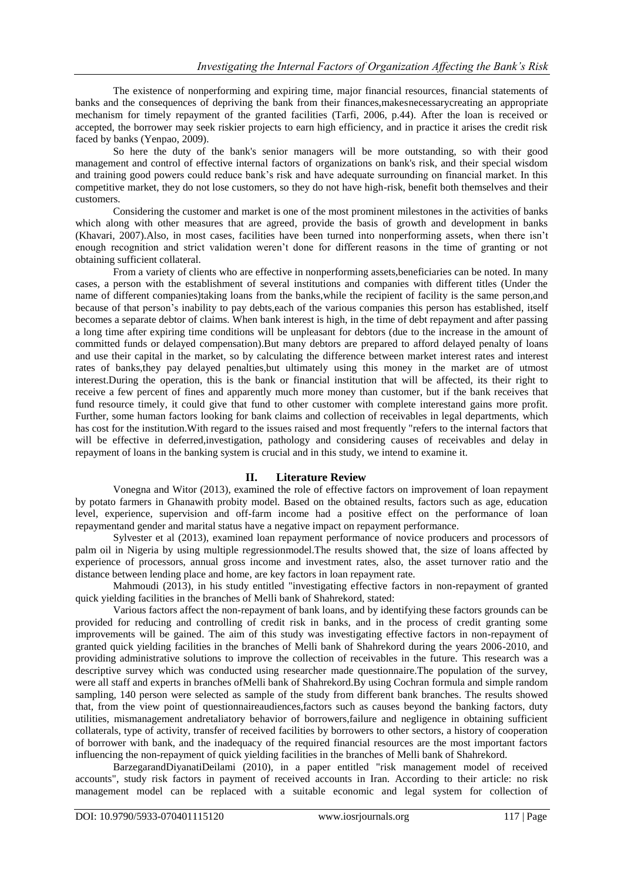The existence of nonperforming and expiring time, major financial resources, financial statements of banks and the consequences of depriving the bank from their finances,makesnecessarycreating an appropriate mechanism for timely repayment of the granted facilities (Tarfi, 2006, p.44). After the loan is received or accepted, the borrower may seek riskier projects to earn high efficiency, and in practice it arises the credit risk faced by banks (Yenpao, 2009).

So here the duty of the bank's senior managers will be more outstanding, so with their good management and control of effective internal factors of organizations on bank's risk, and their special wisdom and training good powers could reduce bank's risk and have adequate surrounding on financial market. In this competitive market, they do not lose customers, so they do not have high-risk, benefit both themselves and their customers.

Considering the customer and market is one of the most prominent milestones in the activities of banks which along with other measures that are agreed, provide the basis of growth and development in banks (Khavari, 2007).Also, in most cases, facilities have been turned into nonperforming assets, when there isn't enough recognition and strict validation weren't done for different reasons in the time of granting or not obtaining sufficient collateral.

From a variety of clients who are effective in nonperforming assets,beneficiaries can be noted. In many cases, a person with the establishment of several institutions and companies with different titles (Under the name of different companies)taking loans from the banks,while the recipient of facility is the same person,and because of that person's inability to pay debts,each of the various companies this person has established, itself becomes a separate debtor of claims. When bank interest is high, in the time of debt repayment and after passing a long time after expiring time conditions will be unpleasant for debtors (due to the increase in the amount of committed funds or delayed compensation).But many debtors are prepared to afford delayed penalty of loans and use their capital in the market, so by calculating the difference between market interest rates and interest rates of banks,they pay delayed penalties,but ultimately using this money in the market are of utmost interest.During the operation, this is the bank or financial institution that will be affected, its their right to receive a few percent of fines and apparently much more money than customer, but if the bank receives that fund resource timely, it could give that fund to other customer with complete interestand gains more profit. Further, some human factors looking for bank claims and collection of receivables in legal departments, which has cost for the institution.With regard to the issues raised and most frequently "refers to the internal factors that will be effective in deferred,investigation, pathology and considering causes of receivables and delay in repayment of loans in the banking system is crucial and in this study, we intend to examine it.

#### **II. Literature Review**

Vonegna and Witor (2013), examined the role of effective factors on improvement of loan repayment by potato farmers in Ghanawith probity model. Based on the obtained results, factors such as age, education level, experience, supervision and off-farm income had a positive effect on the performance of loan repaymentand gender and marital status have a negative impact on repayment performance.

Sylvester et al (2013), examined loan repayment performance of novice producers and processors of palm oil in Nigeria by using multiple regressionmodel.The results showed that, the size of loans affected by experience of processors, annual gross income and investment rates, also, the asset turnover ratio and the distance between lending place and home, are key factors in loan repayment rate.

Mahmoudi (2013), in his study entitled "investigating effective factors in non-repayment of granted quick yielding facilities in the branches of Melli bank of Shahrekord, stated:

Various factors affect the non-repayment of bank loans, and by identifying these factors grounds can be provided for reducing and controlling of credit risk in banks, and in the process of credit granting some improvements will be gained. The aim of this study was investigating effective factors in non-repayment of granted quick yielding facilities in the branches of Melli bank of Shahrekord during the years 2006-2010, and providing administrative solutions to improve the collection of receivables in the future. This research was a descriptive survey which was conducted using researcher made questionnaire.The population of the survey, were all staff and experts in branches ofMelli bank of Shahrekord.By using Cochran formula and simple random sampling, 140 person were selected as sample of the study from different bank branches. The results showed that, from the view point of questionnaireaudiences,factors such as causes beyond the banking factors, duty utilities, mismanagement andretaliatory behavior of borrowers,failure and negligence in obtaining sufficient collaterals, type of activity, transfer of received facilities by borrowers to other sectors, a history of cooperation of borrower with bank, and the inadequacy of the required financial resources are the most important factors influencing the non-repayment of quick yielding facilities in the branches of Melli bank of Shahrekord.

BarzegarandDiyanatiDeilami (2010), in a paper entitled "risk management model of received accounts", study risk factors in payment of received accounts in Iran. According to their article: no risk management model can be replaced with a suitable economic and legal system for collection of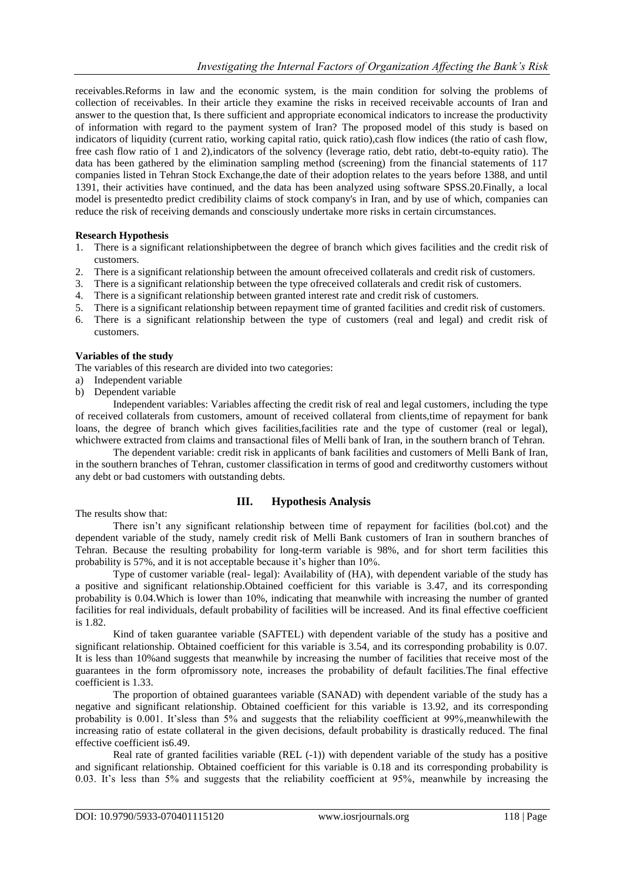receivables.Reforms in law and the economic system, is the main condition for solving the problems of collection of receivables. In their article they examine the risks in received receivable accounts of Iran and answer to the question that, Is there sufficient and appropriate economical indicators to increase the productivity of information with regard to the payment system of Iran? The proposed model of this study is based on indicators of liquidity (current ratio, working capital ratio, quick ratio),cash flow indices (the ratio of cash flow, free cash flow ratio of 1 and 2),indicators of the solvency (leverage ratio, debt ratio, debt-to-equity ratio). The data has been gathered by the elimination sampling method (screening) from the financial statements of 117 companies listed in Tehran Stock Exchange,the date of their adoption relates to the years before 1388, and until 1391, their activities have continued, and the data has been analyzed using software SPSS.20.Finally, a local model is presentedto predict credibility claims of stock company's in Iran, and by use of which, companies can reduce the risk of receiving demands and consciously undertake more risks in certain circumstances.

## **Research Hypothesis**

- 1. There is a significant relationshipbetween the degree of branch which gives facilities and the credit risk of customers.
- 2. There is a significant relationship between the amount ofreceived collaterals and credit risk of customers.
- 3. There is a significant relationship between the type ofreceived collaterals and credit risk of customers.
- 4. There is a significant relationship between granted interest rate and credit risk of customers.
- 5. There is a significant relationship between repayment time of granted facilities and credit risk of customers.
- 6. There is a significant relationship between the type of customers (real and legal) and credit risk of customers.

#### **Variables of the study**

The variables of this research are divided into two categories:

- a) Independent variable
- b) Dependent variable

Independent variables: Variables affecting the credit risk of real and legal customers, including the type of received collaterals from customers, amount of received collateral from clients,time of repayment for bank loans, the degree of branch which gives facilities,facilities rate and the type of customer (real or legal), whichwere extracted from claims and transactional files of Melli bank of Iran, in the southern branch of Tehran.

The dependent variable: credit risk in applicants of bank facilities and customers of Melli Bank of Iran, in the southern branches of Tehran, customer classification in terms of good and creditworthy customers without any debt or bad customers with outstanding debts.

## **III. Hypothesis Analysis**

The results show that:

There isn't any significant relationship between time of repayment for facilities (bol.cot) and the dependent variable of the study, namely credit risk of Melli Bank customers of Iran in southern branches of Tehran. Because the resulting probability for long-term variable is 98%, and for short term facilities this probability is 57%, and it is not acceptable because it's higher than 10%.

Type of customer variable (real- legal): Availability of (HA), with dependent variable of the study has a positive and significant relationship.Obtained coefficient for this variable is 3.47, and its corresponding probability is 0.04.Which is lower than 10%, indicating that meanwhile with increasing the number of granted facilities for real individuals, default probability of facilities will be increased. And its final effective coefficient is 1.82.

Kind of taken guarantee variable (SAFTEL) with dependent variable of the study has a positive and significant relationship. Obtained coefficient for this variable is 3.54, and its corresponding probability is 0.07. It is less than 10%and suggests that meanwhile by increasing the number of facilities that receive most of the guarantees in the form ofpromissory note, increases the probability of default facilities.The final effective coefficient is 1.33.

The proportion of obtained guarantees variable (SANAD) with dependent variable of the study has a negative and significant relationship. Obtained coefficient for this variable is 13.92, and its corresponding probability is 0.001. It'sless than 5% and suggests that the reliability coefficient at 99%,meanwhilewith the increasing ratio of estate collateral in the given decisions, default probability is drastically reduced. The final effective coefficient is6.49.

Real rate of granted facilities variable (REL (-1)) with dependent variable of the study has a positive and significant relationship. Obtained coefficient for this variable is 0.18 and its corresponding probability is 0.03. It's less than 5% and suggests that the reliability coefficient at 95%, meanwhile by increasing the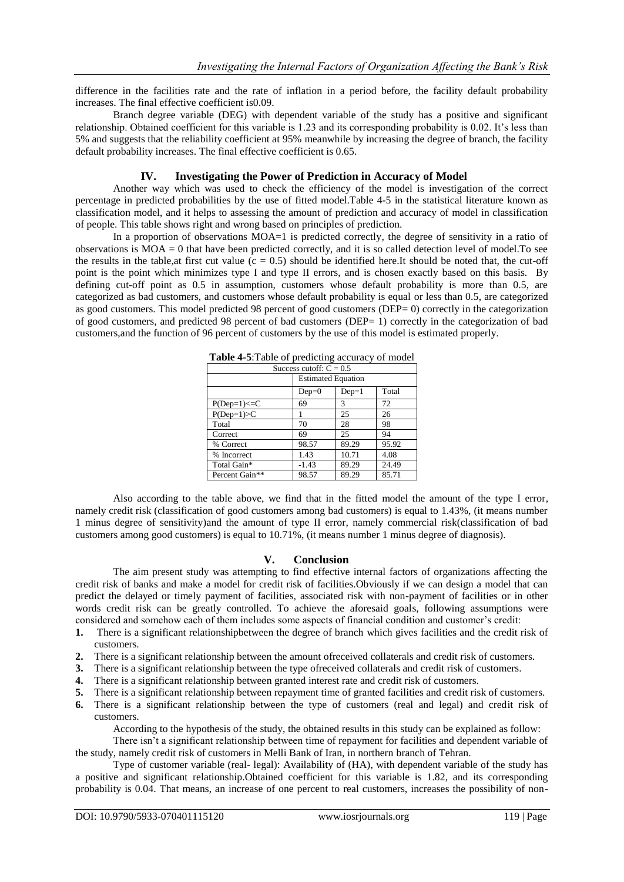difference in the facilities rate and the rate of inflation in a period before, the facility default probability increases. The final effective coefficient is0.09.

Branch degree variable (DEG) with dependent variable of the study has a positive and significant relationship. Obtained coefficient for this variable is 1.23 and its corresponding probability is 0.02. It's less than 5% and suggests that the reliability coefficient at 95% meanwhile by increasing the degree of branch, the facility default probability increases. The final effective coefficient is 0.65.

### **IV. Investigating the Power of Prediction in Accuracy of Model**

Another way which was used to check the efficiency of the model is investigation of the correct percentage in predicted probabilities by the use of fitted model.Table 4-5 in the statistical literature known as classification model, and it helps to assessing the amount of prediction and accuracy of model in classification of people. This table shows right and wrong based on principles of prediction.

In a proportion of observations  $\text{MOA}=1$  is predicted correctly, the degree of sensitivity in a ratio of observations is MOA = 0 that have been predicted correctly, and it is so called detection level of model.To see the results in the table,at first cut value  $(c = 0.5)$  should be identified here.It should be noted that, the cut-off point is the point which minimizes type I and type II errors, and is chosen exactly based on this basis. By defining cut-off point as 0.5 in assumption, customers whose default probability is more than 0.5, are categorized as bad customers, and customers whose default probability is equal or less than 0.5, are categorized as good customers. This model predicted 98 percent of good customers (DEP= 0) correctly in the categorization of good customers, and predicted 98 percent of bad customers (DEP= 1) correctly in the categorization of bad customers,and the function of 96 percent of customers by the use of this model is estimated properly.

|                           | <b>Table <math>\pm 5.1</math></b> and of predicting accuracy of model |         |       |
|---------------------------|-----------------------------------------------------------------------|---------|-------|
| Success cutoff: $C = 0.5$ |                                                                       |         |       |
|                           | <b>Estimated Equation</b>                                             |         |       |
|                           | $Dep=0$                                                               | $Dep=1$ | Total |
| $P(Dep=1) \le C$          | 69                                                                    | 3       | 72    |
| $P(Dep=1) > C$            |                                                                       | 25      | 26    |
| Total                     | 70                                                                    | 28      | 98    |
| Correct                   | 69                                                                    | 25      | 94    |
| % Correct                 | 98.57                                                                 | 89.29   | 95.92 |
| % Incorrect               | 1.43                                                                  | 10.71   | 4.08  |
| Total Gain*               | $-1.43$                                                               | 89.29   | 24.49 |
| Percent Gain**            | 98.57                                                                 | 89.29   | 85.71 |

**Table 4-5**:Table of predicting accuracy of model

Also according to the table above, we find that in the fitted model the amount of the type I error, namely credit risk (classification of good customers among bad customers) is equal to 1.43%, (it means number 1 minus degree of sensitivity)and the amount of type II error, namely commercial risk(classification of bad customers among good customers) is equal to 10.71%, (it means number 1 minus degree of diagnosis).

#### **V. Conclusion**

The aim present study was attempting to find effective internal factors of organizations affecting the credit risk of banks and make a model for credit risk of facilities.Obviously if we can design a model that can predict the delayed or timely payment of facilities, associated risk with non-payment of facilities or in other words credit risk can be greatly controlled. To achieve the aforesaid goals, following assumptions were considered and somehow each of them includes some aspects of financial condition and customer's credit:

- **1.** There is a significant relationshipbetween the degree of branch which gives facilities and the credit risk of customers.
- **2.** There is a significant relationship between the amount ofreceived collaterals and credit risk of customers.
- **3.** There is a significant relationship between the type ofreceived collaterals and credit risk of customers.
- **4.** There is a significant relationship between granted interest rate and credit risk of customers.
- **5.** There is a significant relationship between repayment time of granted facilities and credit risk of customers.
- **6.** There is a significant relationship between the type of customers (real and legal) and credit risk of customers.

According to the hypothesis of the study, the obtained results in this study can be explained as follow:

There isn't a significant relationship between time of repayment for facilities and dependent variable of the study, namely credit risk of customers in Melli Bank of Iran, in northern branch of Tehran.

Type of customer variable (real- legal): Availability of (HA), with dependent variable of the study has a positive and significant relationship.Obtained coefficient for this variable is 1.82, and its corresponding probability is 0.04. That means, an increase of one percent to real customers, increases the possibility of non